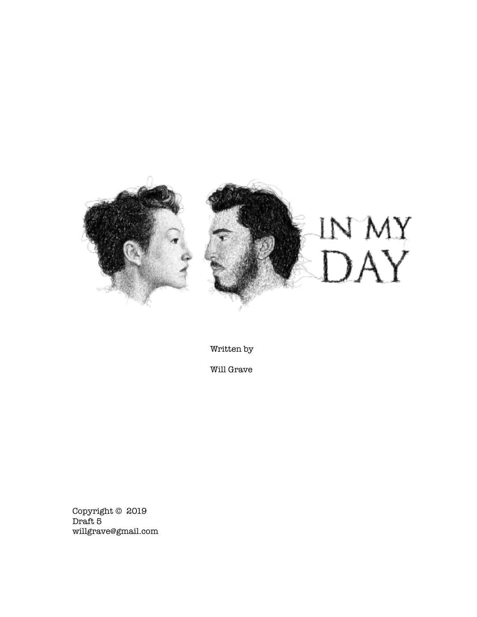

Written by

Will Grave

Copyright © 2019 Draft 5 willgrave@gmail.com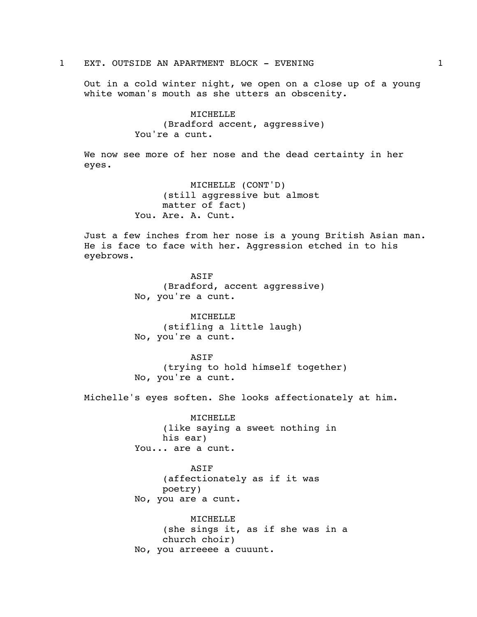1 EXT. OUTSIDE AN APARTMENT BLOCK - EVENING 1

Out in a cold winter night, we open on a close up of a young white woman's mouth as she utters an obscenity.

> MICHELLE (Bradford accent, aggressive) You're a cunt.

We now see more of her nose and the dead certainty in her eyes.

> MICHELLE (CONT'D) (still aggressive but almost matter of fact) You. Are. A. Cunt.

Just a few inches from her nose is a young British Asian man. He is face to face with her. Aggression etched in to his eyebrows.

> ASIF (Bradford, accent aggressive) No, you're a cunt.

MICHELLE (stifling a little laugh) No, you're a cunt.

ASIF (trying to hold himself together) No, you're a cunt.

Michelle's eyes soften. She looks affectionately at him.

MICHELLE (like saying a sweet nothing in his ear) You... are a cunt.

ASIF (affectionately as if it was poetry) No, you are a cunt.

MICHELLE (she sings it, as if she was in a church choir) No, you arreeee a cuuunt.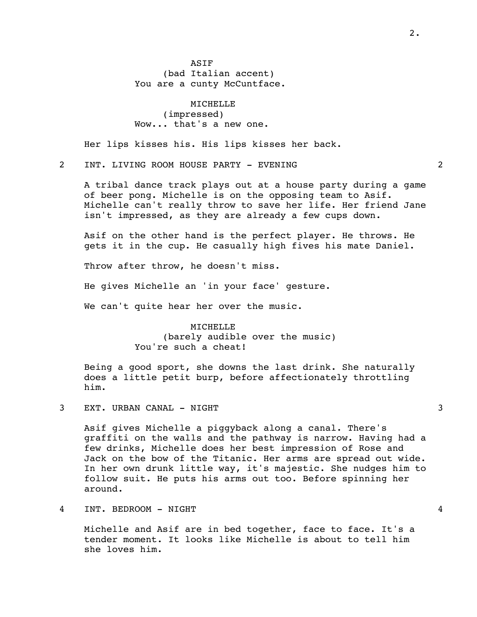ASIF (bad Italian accent) You are a cunty McCuntface.

MICHELLE (impressed) Wow... that's a new one.

Her lips kisses his. His lips kisses her back.

2 INT. LIVING ROOM HOUSE PARTY - EVENING 2

A tribal dance track plays out at a house party during a game of beer pong. Michelle is on the opposing team to Asif. Michelle can't really throw to save her life. Her friend Jane isn't impressed, as they are already a few cups down.

Asif on the other hand is the perfect player. He throws. He gets it in the cup. He casually high fives his mate Daniel.

Throw after throw, he doesn't miss.

He gives Michelle an 'in your face' gesture.

We can't quite hear her over the music.

MICHELLE (barely audible over the music) You're such a cheat!

Being a good sport, she downs the last drink. She naturally does a little petit burp, before affectionately throttling him.

3 EXT. URBAN CANAL - NIGHT 3

Asif gives Michelle a piggyback along a canal. There's graffiti on the walls and the pathway is narrow. Having had a few drinks, Michelle does her best impression of Rose and Jack on the bow of the Titanic. Her arms are spread out wide. In her own drunk little way, it's majestic. She nudges him to follow suit. He puts his arms out too. Before spinning her around.

4 INT. BEDROOM - NIGHT 4

Michelle and Asif are in bed together, face to face. It's a tender moment. It looks like Michelle is about to tell him she loves him.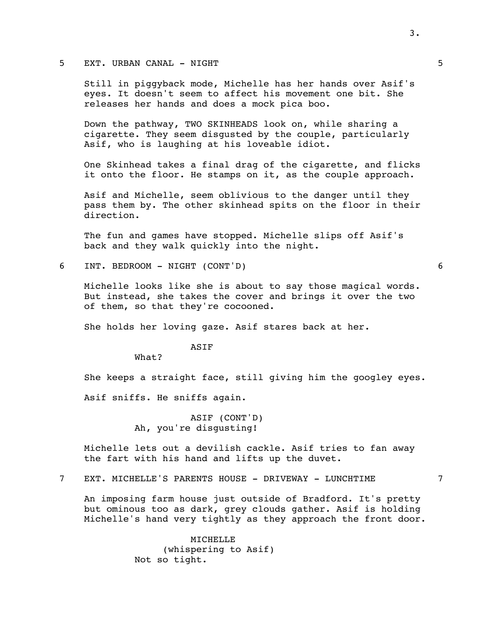## 5 EXT. URBAN CANAL - NIGHT 5

Still in piggyback mode, Michelle has her hands over Asif's eyes. It doesn't seem to affect his movement one bit. She releases her hands and does a mock pica boo.

Down the pathway, TWO SKINHEADS look on, while sharing a cigarette. They seem disgusted by the couple, particularly Asif, who is laughing at his loveable idiot.

One Skinhead takes a final drag of the cigarette, and flicks it onto the floor. He stamps on it, as the couple approach.

Asif and Michelle, seem oblivious to the danger until they pass them by. The other skinhead spits on the floor in their direction.

The fun and games have stopped. Michelle slips off Asif's back and they walk quickly into the night.

6 INT. BEDROOM - NIGHT (CONT'D) 6

Michelle looks like she is about to say those magical words. But instead, she takes the cover and brings it over the two of them, so that they're cocooned.

She holds her loving gaze. Asif stares back at her.

ASIF

What?

She keeps a straight face, still giving him the googley eyes.

Asif sniffs. He sniffs again.

ASIF (CONT'D) Ah, you're disgusting!

Michelle lets out a devilish cackle. Asif tries to fan away the fart with his hand and lifts up the duvet.

7 EXT. MICHELLE'S PARENTS HOUSE - DRIVEWAY - LUNCHTIME 7

An imposing farm house just outside of Bradford. It's pretty but ominous too as dark, grey clouds gather. Asif is holding Michelle's hand very tightly as they approach the front door.

> MICHELLE (whispering to Asif) Not so tight.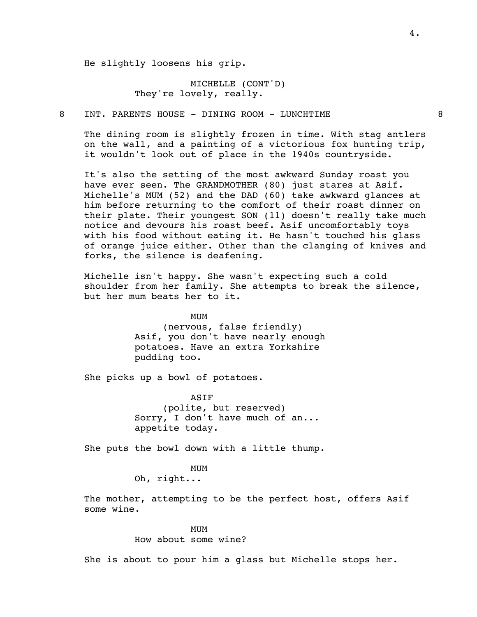He slightly loosens his grip.

## MICHELLE (CONT'D) They're lovely, really.

8 INT. PARENTS HOUSE - DINING ROOM - LUNCHTIME 8

The dining room is slightly frozen in time. With stag antlers on the wall, and a painting of a victorious fox hunting trip, it wouldn't look out of place in the 1940s countryside.

It's also the setting of the most awkward Sunday roast you have ever seen. The GRANDMOTHER (80) just stares at Asif. Michelle's MUM (52) and the DAD (60) take awkward glances at him before returning to the comfort of their roast dinner on their plate. Their youngest SON (11) doesn't really take much notice and devours his roast beef. Asif uncomfortably toys with his food without eating it. He hasn't touched his glass of orange juice either. Other than the clanging of knives and forks, the silence is deafening.

Michelle isn't happy. She wasn't expecting such a cold shoulder from her family. She attempts to break the silence, but her mum beats her to it.

> MUM (nervous, false friendly) Asif, you don't have nearly enough potatoes. Have an extra Yorkshire pudding too.

She picks up a bowl of potatoes.

ASIF (polite, but reserved) Sorry, I don't have much of an... appetite today.

She puts the bowl down with a little thump.

## MUM

Oh, right...

The mother, attempting to be the perfect host, offers Asif some wine.

> MUM How about some wine?

She is about to pour him a glass but Michelle stops her.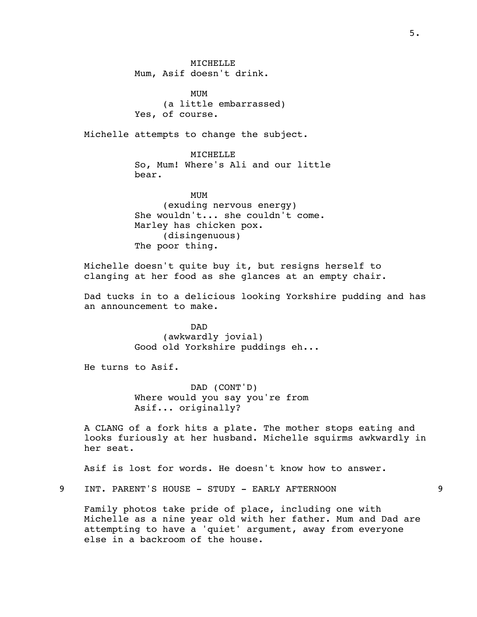MICHELLE Mum, Asif doesn't drink.

MUM (a little embarrassed) Yes, of course.

Michelle attempts to change the subject.

MICHELLE So, Mum! Where's Ali and our little bear.

MUM (exuding nervous energy) She wouldn't... she couldn't come. Marley has chicken pox. (disingenuous) The poor thing.

Michelle doesn't quite buy it, but resigns herself to clanging at her food as she glances at an empty chair.

Dad tucks in to a delicious looking Yorkshire pudding and has an announcement to make.

> DAD (awkwardly jovial) Good old Yorkshire puddings eh...

He turns to Asif.

DAD (CONT'D) Where would you say you're from Asif... originally?

A CLANG of a fork hits a plate. The mother stops eating and looks furiously at her husband. Michelle squirms awkwardly in her seat.

Asif is lost for words. He doesn't know how to answer.

9 INT. PARENT'S HOUSE - STUDY - EARLY AFTERNOON 9

Family photos take pride of place, including one with Michelle as a nine year old with her father. Mum and Dad are attempting to have a 'quiet' argument, away from everyone else in a backroom of the house.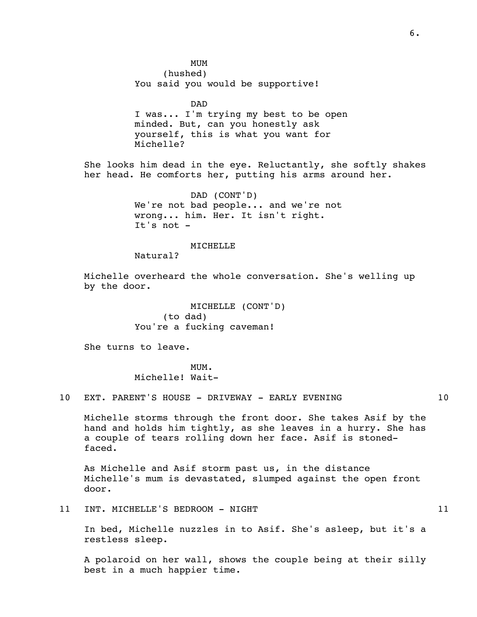MUM (hushed) You said you would be supportive!

DAD I was... I'm trying my best to be open minded. But, can you honestly ask yourself, this is what you want for Michelle?

She looks him dead in the eye. Reluctantly, she softly shakes her head. He comforts her, putting his arms around her.

> DAD (CONT'D) We're not bad people... and we're not wrong... him. Her. It isn't right. It's not -

> > MICHELLE

Natural?

Michelle overheard the whole conversation. She's welling up by the door.

> MICHELLE (CONT'D) (to dad) You're a fucking caveman!

She turns to leave.

MUM. Michelle! Wait-

10 EXT. PARENT'S HOUSE - DRIVEWAY - EARLY EVENING  $10$ 

Michelle storms through the front door. She takes Asif by the hand and holds him tightly, as she leaves in a hurry. She has a couple of tears rolling down her face. Asif is stonedfaced.

As Michelle and Asif storm past us, in the distance Michelle's mum is devastated, slumped against the open front door.

11 INT. MICHELLE'S BEDROOM - NIGHT 11 21

In bed, Michelle nuzzles in to Asif. She's asleep, but it's a restless sleep.

A polaroid on her wall, shows the couple being at their silly best in a much happier time.